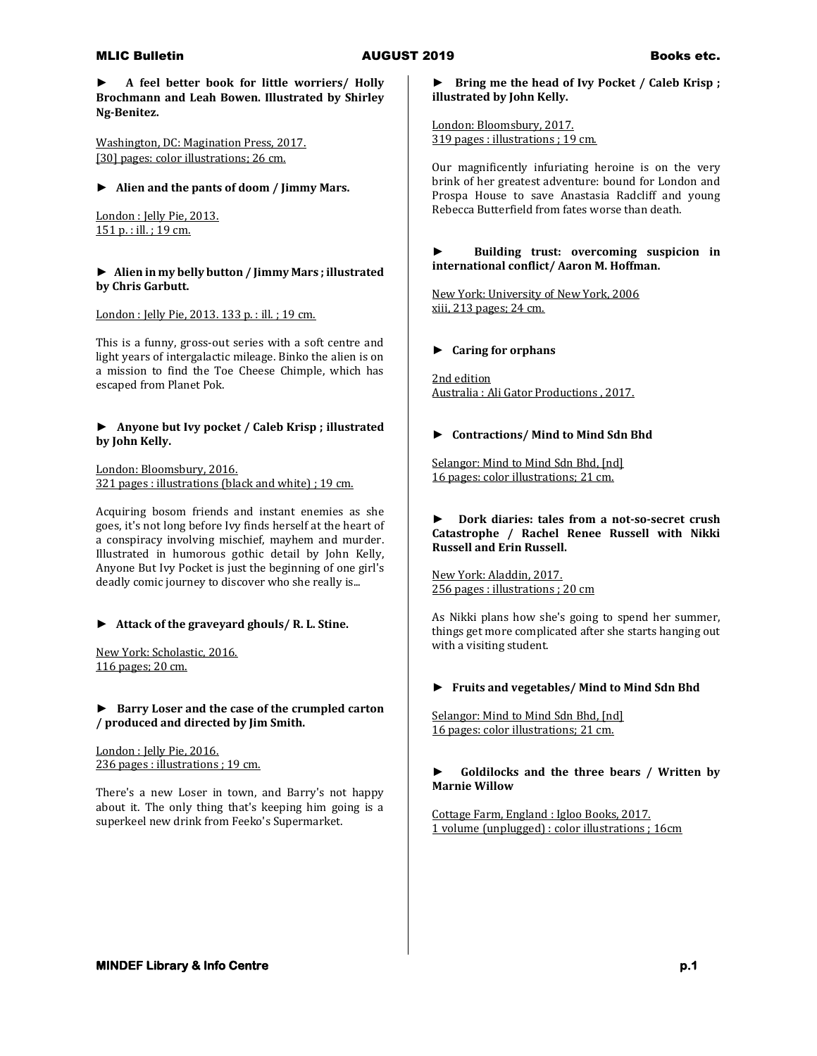**► A feel better book for little worriers/ Holly Brochmann and Leah Bowen. Illustrated by Shirley Ng-Benitez.**

Washington, DC: Magination Press, 2017. [30] pages: color illustrations; 26 cm.

**► Alien and the pants of doom / Jimmy Mars.**

London : Jelly Pie, 2013. 151 p. : ill. ; 19 cm.

# **► Alien in my belly button / Jimmy Mars ; illustrated by Chris Garbutt.**

London : Jelly Pie, 2013. 133 p. : ill. ; 19 cm.

This is a funny, gross-out series with a soft centre and light years of intergalactic mileage. Binko the alien is on a mission to find the Toe Cheese Chimple, which has escaped from Planet Pok.

# **► Anyone but Ivy pocket / Caleb Krisp ; illustrated by John Kelly.**

London: Bloomsbury, 2016. 321 pages : illustrations (black and white) ; 19 cm.

Acquiring bosom friends and instant enemies as she goes, it's not long before Ivy finds herself at the heart of a conspiracy involving mischief, mayhem and murder. Illustrated in humorous gothic detail by John Kelly, Anyone But Ivy Pocket is just the beginning of one girl's deadly comic journey to discover who she really is...

# **► Attack of the graveyard ghouls/ R. L. Stine.**

New York: Scholastic, 2016. 116 pages; 20 cm.

# **► Barry Loser and the case of the crumpled carton / produced and directed by Jim Smith.**

London : Jelly Pie, 2016. 236 pages : illustrations ; 19 cm.

There's a new Loser in town, and Barry's not happy about it. The only thing that's keeping him going is a superkeel new drink from Feeko's Supermarket.

**► Bring me the head of Ivy Pocket / Caleb Krisp ; illustrated by John Kelly.**

London: Bloomsbury, 2017. 319 pages : illustrations ; 19 cm.

Our magnificently infuriating heroine is on the very brink of her greatest adventure: bound for London and Prospa House to save Anastasia Radcliff and young Rebecca Butterfield from fates worse than death.

## **► Building trust: overcoming suspicion in international conflict/ Aaron M. Hoffman.**

New York: University of New York, 2006 xiii, 213 pages; 24 cm.

# **► Caring for orphans**

2nd edition Australia : Ali Gator Productions , 2017.

# **► Contractions/ Mind to Mind Sdn Bhd**

Selangor: Mind to Mind Sdn Bhd, [nd] 16 pages: color illustrations; 21 cm.

### **► Dork diaries: tales from a not-so-secret crush Catastrophe / Rachel Renee Russell with Nikki Russell and Erin Russell.**

New York: Aladdin, 2017. 256 pages : illustrations ; 20 cm

As Nikki plans how she's going to spend her summer, things get more complicated after she starts hanging out with a visiting student.

# **► Fruits and vegetables/ Mind to Mind Sdn Bhd**

Selangor: Mind to Mind Sdn Bhd, [nd] 16 pages: color illustrations; 21 cm.

# **► Goldilocks and the three bears / Written by Marnie Willow**

Cottage Farm, England : Igloo Books, 2017. 1 volume (unplugged) : color illustrations ; 16cm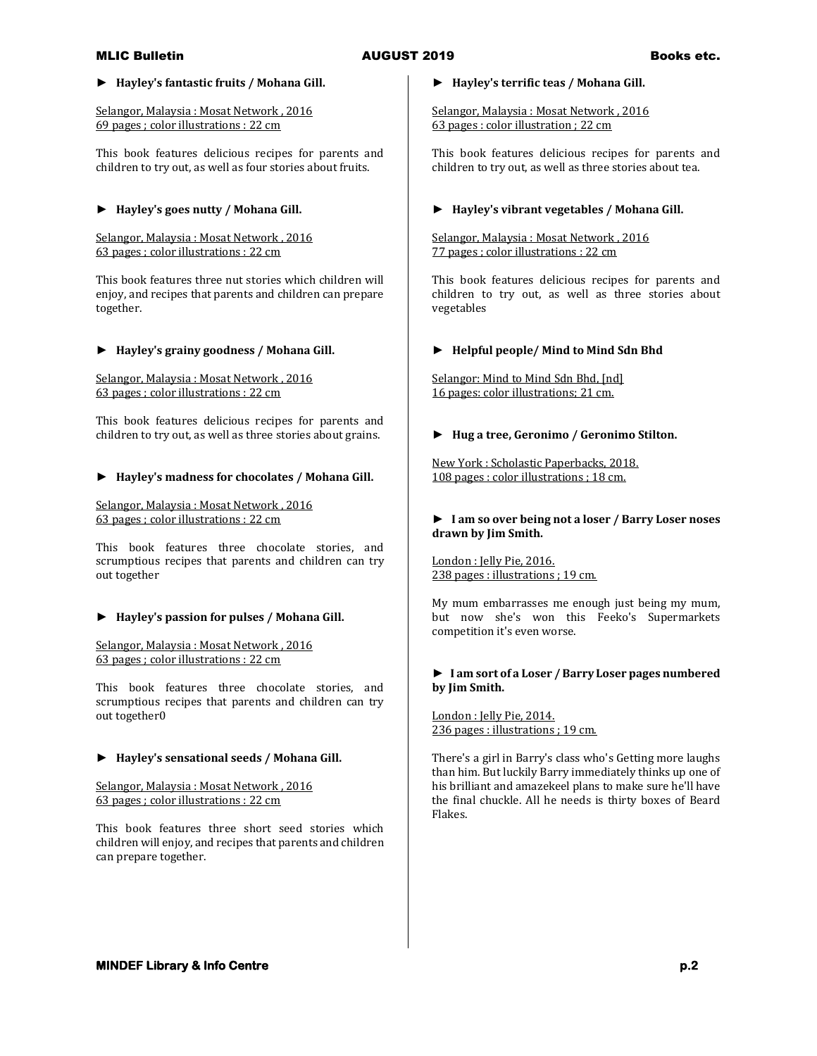# **► Hayley's fantastic fruits / Mohana Gill.**

Selangor, Malaysia : Mosat Network , 2016 69 pages ; color illustrations : 22 cm

This book features delicious recipes for parents and children to try out, as well as four stories about fruits.

# **► Hayley's goes nutty / Mohana Gill.**

Selangor, Malaysia : Mosat Network , 2016 63 pages ; color illustrations : 22 cm

This book features three nut stories which children will enjoy, and recipes that parents and children can prepare together.

# **► Hayley's grainy goodness / Mohana Gill.**

Selangor, Malaysia : Mosat Network , 2016 63 pages ; color illustrations : 22 cm

This book features delicious recipes for parents and children to try out, as well as three stories about grains.

# **► Hayley's madness for chocolates / Mohana Gill.**

Selangor, Malaysia : Mosat Network , 2016 63 pages ; color illustrations : 22 cm

This book features three chocolate stories, and scrumptious recipes that parents and children can try out together

# **► Hayley's passion for pulses / Mohana Gill.**

Selangor, Malaysia : Mosat Network , 2016 63 pages ; color illustrations : 22 cm

This book features three chocolate stories, and scrumptious recipes that parents and children can try out together0

# **► Hayley's sensational seeds / Mohana Gill.**

Selangor, Malaysia : Mosat Network , 2016 63 pages ; color illustrations : 22 cm

This book features three short seed stories which children will enjoy, and recipes that parents and children can prepare together.

### **► Hayley's terrific teas / Mohana Gill.**

Selangor, Malaysia : Mosat Network , 2016 63 pages : color illustration ; 22 cm

This book features delicious recipes for parents and children to try out, as well as three stories about tea.

# **► Hayley's vibrant vegetables / Mohana Gill.**

Selangor, Malaysia : Mosat Network , 2016 77 pages ; color illustrations : 22 cm

This book features delicious recipes for parents and children to try out, as well as three stories about vegetables

### **► Helpful people/ Mind to Mind Sdn Bhd**

Selangor: Mind to Mind Sdn Bhd, [nd] 16 pages: color illustrations; 21 cm.

### **► Hug a tree, Geronimo / Geronimo Stilton.**

New York : Scholastic Paperbacks, 2018. 108 pages : color illustrations ; 18 cm.

### **► I am so over being not a loser / Barry Loser noses drawn by Jim Smith.**

London : Jelly Pie, 2016. 238 pages : illustrations ; 19 cm.

My mum embarrasses me enough just being my mum, but now she's won this Feeko's Supermarkets competition it's even worse.

### **► I am sort of a Loser / Barry Loser pages numbered by Jim Smith.**

London : Jelly Pie, 2014. 236 pages : illustrations ; 19 cm.

There's a girl in Barry's class who's Getting more laughs than him. But luckily Barry immediately thinks up one of his brilliant and amazekeel plans to make sure he'll have the final chuckle. All he needs is thirty boxes of Beard Flakes.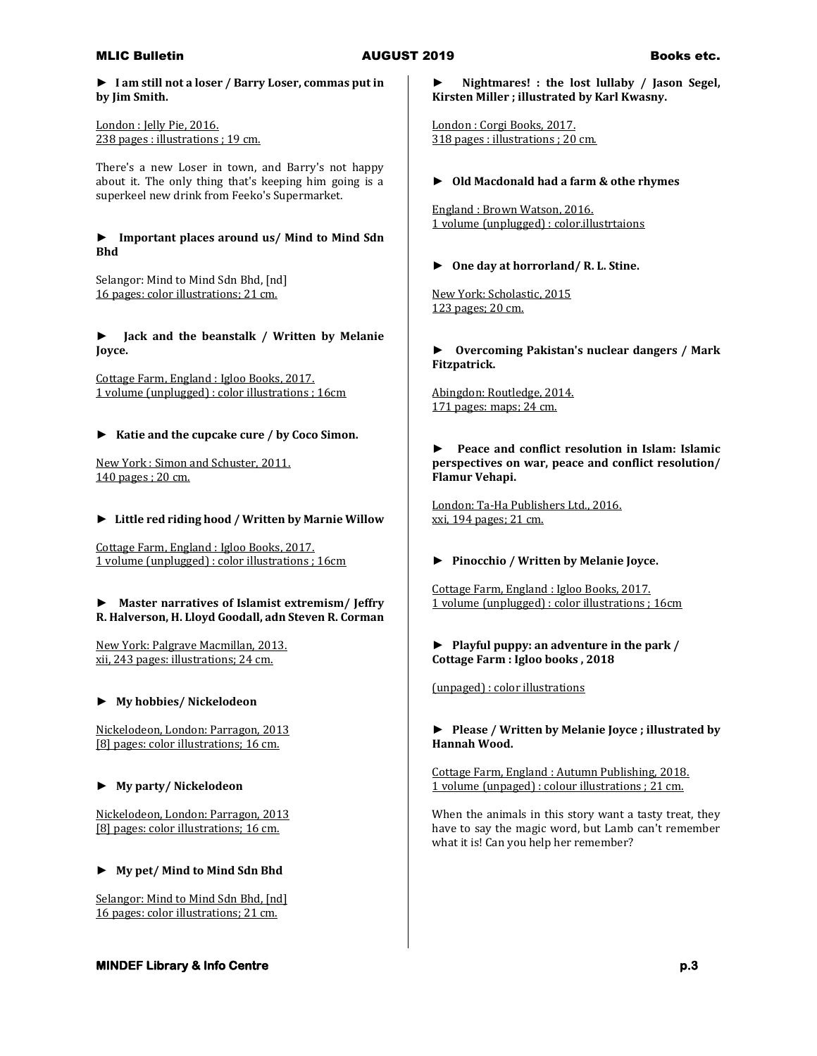**► I am still not a loser / Barry Loser, commas put in by Jim Smith.**

London : Jelly Pie, 2016. 238 pages : illustrations ; 19 cm.

There's a new Loser in town, and Barry's not happy about it. The only thing that's keeping him going is a superkeel new drink from Feeko's Supermarket.

### **► Important places around us/ Mind to Mind Sdn Bhd**

Selangor: Mind to Mind Sdn Bhd, [nd] 16 pages: color illustrations; 21 cm.

**► Jack and the beanstalk / Written by Melanie Joyce.**

Cottage Farm, England : Igloo Books, 2017. 1 volume (unplugged) : color illustrations ; 16cm

# **► Katie and the cupcake cure / by Coco Simon.**

New York : Simon and Schuster, 2011. 140 pages ; 20 cm.

### **► Little red riding hood / Written by Marnie Willow**

Cottage Farm, England : Igloo Books, 2017. 1 volume (unplugged) : color illustrations ; 16cm

### **► Master narratives of Islamist extremism/ Jeffry R. Halverson, H. Lloyd Goodall, adn Steven R. Corman**

New York: Palgrave Macmillan, 2013. xii, 243 pages: illustrations; 24 cm.

### **► My hobbies/ Nickelodeon**

Nickelodeon, London: Parragon, 2013 [8] pages: color illustrations; 16 cm.

# **► My party/ Nickelodeon**

Nickelodeon, London: Parragon, 2013 [8] pages: color illustrations; 16 cm.

# **► My pet/ Mind to Mind Sdn Bhd**

Selangor: Mind to Mind Sdn Bhd, [nd] 16 pages: color illustrations; 21 cm.

# **► Nightmares! : the lost lullaby / Jason Segel, Kirsten Miller ; illustrated by Karl Kwasny.**

London : Corgi Books, 2017. 318 pages : illustrations ; 20 cm.

# **► Old Macdonald had a farm & othe rhymes**

England : Brown Watson, 2016. 1 volume (unplugged) : color.illustrtaions

### **► One day at horrorland/ R. L. Stine.**

New York: Scholastic, 2015 123 pages; 20 cm.

**► Overcoming Pakistan's nuclear dangers / Mark Fitzpatrick.**

Abingdon: Routledge, 2014. 171 pages: maps; 24 cm.

# **► Peace and conflict resolution in Islam: Islamic perspectives on war, peace and conflict resolution/ Flamur Vehapi.**

London: Ta-Ha Publishers Ltd., 2016. xxi, 194 pages; 21 cm.

# **► Pinocchio / Written by Melanie Joyce.**

Cottage Farm, England : Igloo Books, 2017. 1 volume (unplugged) : color illustrations ; 16cm

## **► Playful puppy: an adventure in the park / Cottage Farm : Igloo books , 2018**

(unpaged) : color illustrations

## **► Please / Written by Melanie Joyce ; illustrated by Hannah Wood.**

Cottage Farm, England : Autumn Publishing, 2018. 1 volume (unpaged) : colour illustrations ; 21 cm.

When the animals in this story want a tasty treat, they have to say the magic word, but Lamb can't remember what it is! Can you help her remember?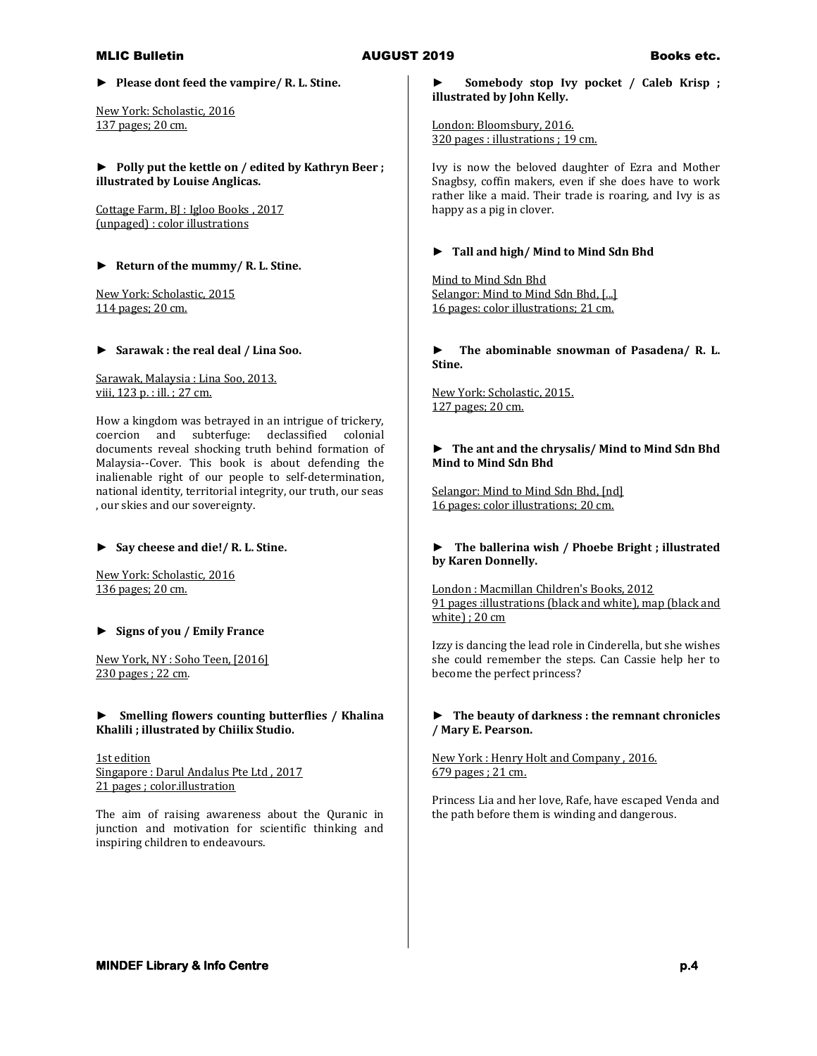**► Please dont feed the vampire/ R. L. Stine.**

New York: Scholastic, 2016 137 pages; 20 cm.

**► Polly put the kettle on / edited by Kathryn Beer ; illustrated by Louise Anglicas.**

Cottage Farm, BJ : Igloo Books , 2017 (unpaged) : color illustrations

**► Return of the mummy/ R. L. Stine.**

New York: Scholastic, 2015 114 pages; 20 cm.

**► Sarawak : the real deal / Lina Soo.**

Sarawak, Malaysia : Lina Soo, 2013. viii, 123 p. : ill. ; 27 cm.

How a kingdom was betrayed in an intrigue of trickery, coercion and subterfuge: declassified colonial documents reveal shocking truth behind formation of Malaysia--Cover. This book is about defending the inalienable right of our people to self-determination, national identity, territorial integrity, our truth, our seas , our skies and our sovereignty.

**► Say cheese and die!/ R. L. Stine.**

New York: Scholastic, 2016 136 pages; 20 cm.

**► Signs of you / Emily France**

New York, NY : Soho Teen, [2016] 230 pages ; 22 cm.

**► Smelling flowers counting butterflies / Khalina Khalili ; illustrated by Chiilix Studio.**

1st edition Singapore : Darul Andalus Pte Ltd , 2017 21 pages ; color.illustration

The aim of raising awareness about the Quranic in junction and motivation for scientific thinking and inspiring children to endeavours.

**► Somebody stop Ivy pocket / Caleb Krisp ; illustrated by John Kelly.**

London: Bloomsbury, 2016. 320 pages : illustrations ; 19 cm.

Ivy is now the beloved daughter of Ezra and Mother Snagbsy, coffin makers, even if she does have to work rather like a maid. Their trade is roaring, and Ivy is as happy as a pig in clover.

### **► Tall and high/ Mind to Mind Sdn Bhd**

Mind to Mind Sdn Bhd Selangor: Mind to Mind Sdn Bhd, [...] 16 pages: color illustrations; 21 cm.

**► The abominable snowman of Pasadena/ R. L. Stine.**

New York: Scholastic, 2015. 127 pages; 20 cm.

### **► The ant and the chrysalis/ Mind to Mind Sdn Bhd Mind to Mind Sdn Bhd**

Selangor: Mind to Mind Sdn Bhd, [nd] 16 pages: color illustrations; 20 cm.

## **► The ballerina wish / Phoebe Bright ; illustrated by Karen Donnelly.**

London : Macmillan Children's Books, 2012 91 pages :illustrations (black and white), map (black and white) ; 20 cm

Izzy is dancing the lead role in Cinderella, but she wishes she could remember the steps. Can Cassie help her to become the perfect princess?

### **► The beauty of darkness : the remnant chronicles / Mary E. Pearson.**

New York : Henry Holt and Company , 2016. 679 pages ; 21 cm.

Princess Lia and her love, Rafe, have escaped Venda and the path before them is winding and dangerous.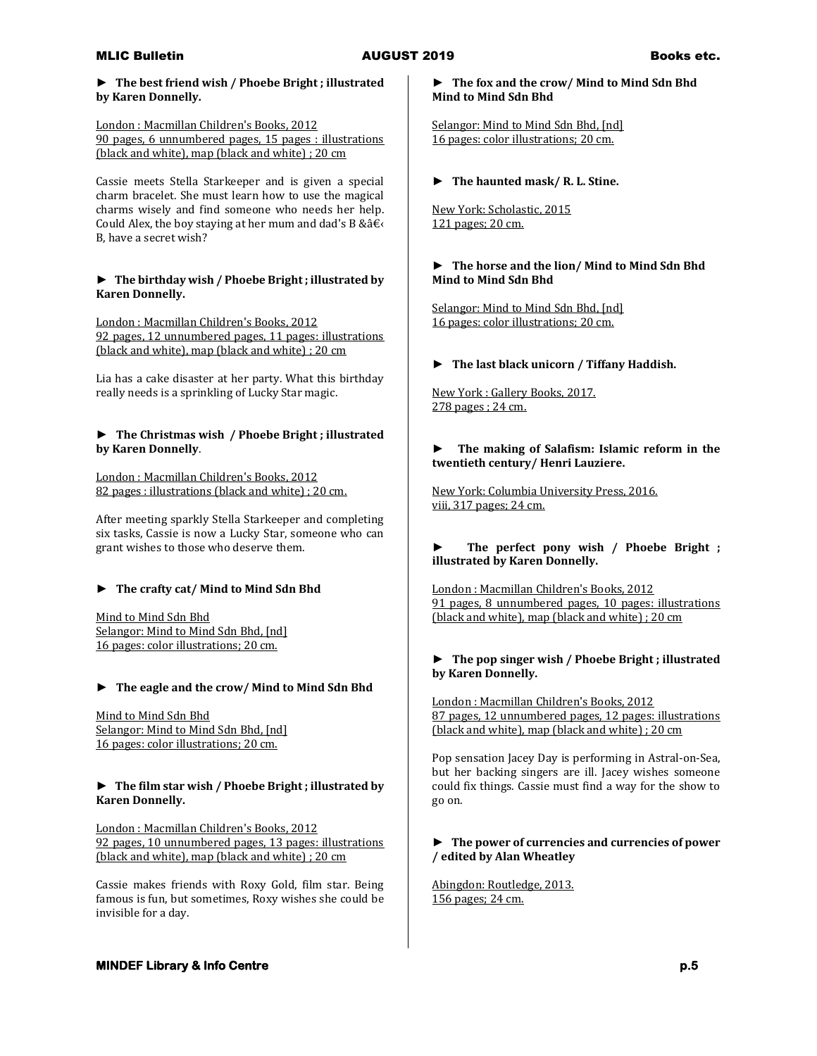### **► The best friend wish / Phoebe Bright ; illustrated by Karen Donnelly.**

### London : Macmillan Children's Books, 2012 90 pages, 6 unnumbered pages, 15 pages : illustrations (black and white), map (black and white) ; 20 cm

Cassie meets Stella Starkeeper and is given a special charm bracelet. She must learn how to use the magical charms wisely and find someone who needs her help. Could Alex, the boy staying at her mum and dad's B &  $â€$ B, have a secret wish?

# **► The birthday wish / Phoebe Bright ; illustrated by Karen Donnelly.**

London : Macmillan Children's Books, 2012 92 pages, 12 unnumbered pages, 11 pages: illustrations (black and white), map (black and white) ; 20 cm

Lia has a cake disaster at her party. What this birthday really needs is a sprinkling of Lucky Star magic.

# **► The Christmas wish / Phoebe Bright ; illustrated by Karen Donnelly**.

London : Macmillan Children's Books, 2012 82 pages : illustrations (black and white) ; 20 cm.

After meeting sparkly Stella Starkeeper and completing six tasks, Cassie is now a Lucky Star, someone who can grant wishes to those who deserve them.

# **► The crafty cat/ Mind to Mind Sdn Bhd**

Mind to Mind Sdn Bhd Selangor: Mind to Mind Sdn Bhd, [nd] 16 pages: color illustrations; 20 cm.

# **► The eagle and the crow/ Mind to Mind Sdn Bhd**

Mind to Mind Sdn Bhd Selangor: Mind to Mind Sdn Bhd, [nd] 16 pages: color illustrations; 20 cm.

# **► The film star wish / Phoebe Bright ; illustrated by Karen Donnelly.**

London : Macmillan Children's Books, 2012 92 pages, 10 unnumbered pages, 13 pages: illustrations (black and white), map (black and white) ; 20 cm

Cassie makes friends with Roxy Gold, film star. Being famous is fun, but sometimes, Roxy wishes she could be invisible for a day.

# **► The fox and the crow/ Mind to Mind Sdn Bhd Mind to Mind Sdn Bhd**

Selangor: Mind to Mind Sdn Bhd, [nd] 16 pages: color illustrations; 20 cm.

**► The haunted mask/ R. L. Stine.**

New York: Scholastic, 2015 121 pages; 20 cm.

# **► The horse and the lion/ Mind to Mind Sdn Bhd Mind to Mind Sdn Bhd**

Selangor: Mind to Mind Sdn Bhd, [nd] 16 pages: color illustrations; 20 cm.

# **► The last black unicorn / Tiffany Haddish.**

New York : Gallery Books, 2017. 278 pages ; 24 cm.

# **► The making of Salafism: Islamic reform in the twentieth century/ Henri Lauziere.**

New York: Columbia University Press, 2016. viii, 317 pages; 24 cm.

# **► The perfect pony wish / Phoebe Bright ; illustrated by Karen Donnelly.**

London : Macmillan Children's Books, 2012 91 pages, 8 unnumbered pages, 10 pages: illustrations (black and white), map (black and white) ; 20 cm

# **► The pop singer wish / Phoebe Bright ; illustrated by Karen Donnelly.**

London : Macmillan Children's Books, 2012 87 pages, 12 unnumbered pages, 12 pages: illustrations (black and white), map (black and white) ; 20 cm

Pop sensation Jacey Day is performing in Astral-on-Sea, but her backing singers are ill. Jacey wishes someone could fix things. Cassie must find a way for the show to go on.

# **► The power of currencies and currencies of power / edited by Alan Wheatley**

Abingdon: Routledge, 2013. 156 pages; 24 cm.

# **MINDEF Library & Info Centre p.5 p.5**